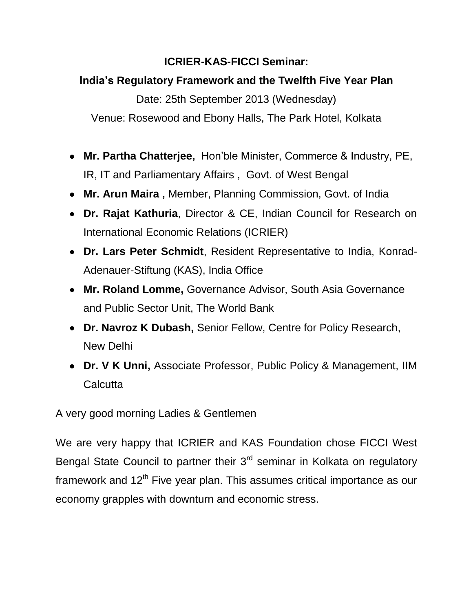## **ICRIER-KAS-FICCI Seminar:**

## **India's Regulatory Framework and the Twelfth Five Year Plan**

Date: 25th September 2013 (Wednesday) Venue: Rosewood and Ebony Halls, The Park Hotel, Kolkata

- **Mr. Partha Chatterjee,** Hon'ble Minister, Commerce & Industry, PE, IR, IT and Parliamentary Affairs , Govt. of West Bengal
- **Mr. Arun Maira ,** Member, Planning Commission, Govt. of India
- **Dr. Rajat Kathuria**, Director & CE, Indian Council for Research on International Economic Relations (ICRIER)
- **Dr. Lars Peter Schmidt**, Resident Representative to India, Konrad-Adenauer-Stiftung (KAS), India Office
- **Mr. Roland Lomme,** Governance Advisor, South Asia Governance and Public Sector Unit, The World Bank
- **Dr. Navroz K Dubash,** Senior Fellow, Centre for Policy Research, New Delhi
- **Dr. V K Unni,** Associate Professor, Public Policy & Management, IIM **Calcutta**

A very good morning Ladies & Gentlemen

We are very happy that ICRIER and KAS Foundation chose FICCI West Bengal State Council to partner their 3<sup>rd</sup> seminar in Kolkata on regulatory framework and  $12<sup>th</sup>$  Five year plan. This assumes critical importance as our economy grapples with downturn and economic stress.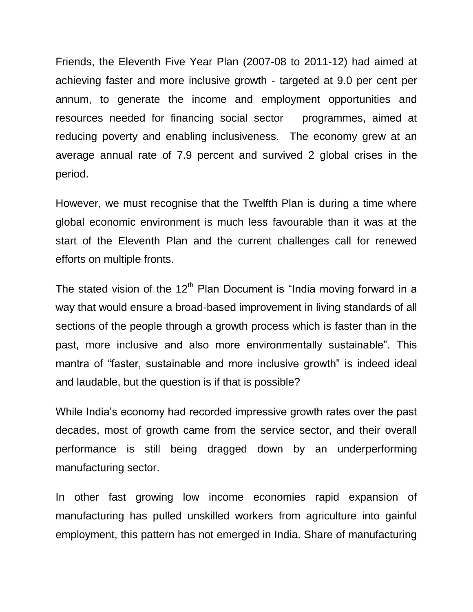Friends, the Eleventh Five Year Plan (2007-08 to 2011-12) had aimed at achieving faster and more inclusive growth - targeted at 9.0 per cent per annum, to generate the income and employment opportunities and resources needed for financing social sector programmes, aimed at reducing poverty and enabling inclusiveness. The economy grew at an average annual rate of 7.9 percent and survived 2 global crises in the period.

However, we must recognise that the Twelfth Plan is during a time where global economic environment is much less favourable than it was at the start of the Eleventh Plan and the current challenges call for renewed efforts on multiple fronts.

The stated vision of the  $12<sup>th</sup>$  Plan Document is "India moving forward in a way that would ensure a broad-based improvement in living standards of all sections of the people through a growth process which is faster than in the past, more inclusive and also more environmentally sustainable". This mantra of "faster, sustainable and more inclusive growth" is indeed ideal and laudable, but the question is if that is possible?

While India's economy had recorded impressive growth rates over the past decades, most of growth came from the service sector, and their overall performance is still being dragged down by an underperforming manufacturing sector.

In other fast growing low income economies rapid expansion of manufacturing has pulled unskilled workers from agriculture into gainful employment, this pattern has not emerged in India. Share of manufacturing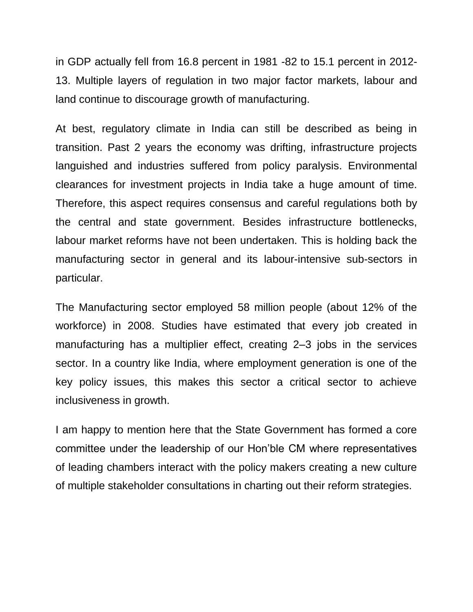in GDP actually fell from 16.8 percent in 1981 -82 to 15.1 percent in 2012- 13. Multiple layers of regulation in two major factor markets, labour and land continue to discourage growth of manufacturing.

At best, regulatory climate in India can still be described as being in transition. Past 2 years the economy was drifting, infrastructure projects languished and industries suffered from policy paralysis. Environmental clearances for investment projects in India take a huge amount of time. Therefore, this aspect requires consensus and careful regulations both by the central and state government. Besides infrastructure bottlenecks, labour market reforms have not been undertaken. This is holding back the manufacturing sector in general and its labour-intensive sub-sectors in particular.

The Manufacturing sector employed 58 million people (about 12% of the workforce) in 2008. Studies have estimated that every job created in manufacturing has a multiplier effect, creating 2–3 jobs in the services sector. In a country like India, where employment generation is one of the key policy issues, this makes this sector a critical sector to achieve inclusiveness in growth.

I am happy to mention here that the State Government has formed a core committee under the leadership of our Hon'ble CM where representatives of leading chambers interact with the policy makers creating a new culture of multiple stakeholder consultations in charting out their reform strategies.